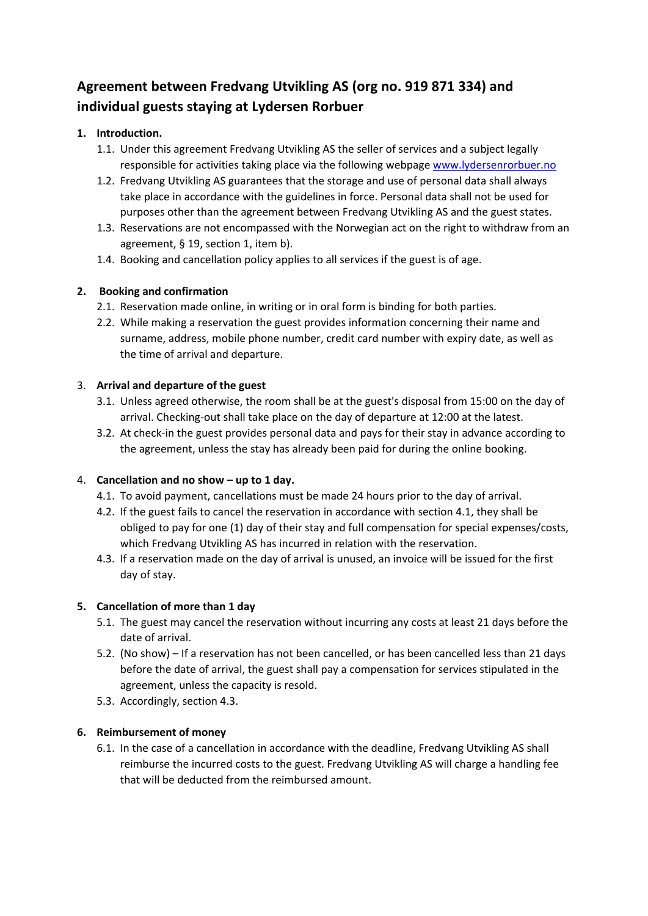# **Agreement between Fredvang Utvikling AS (org no. 919 871 334) and individual guests staying at Lydersen Rorbuer**

## **1. Introduction.**

- 1.1. Under this agreement Fredvang Utvikling AS the seller of services and a subject legally responsible for activities taking place via the following webpage www.lydersenrorbuer.no
- 1.2. Fredvang Utvikling AS guarantees that the storage and use of personal data shall always take place in accordance with the guidelines in force. Personal data shall not be used for purposes other than the agreement between Fredvang Utvikling AS and the guest states.
- 1.3. Reservations are not encompassed with the Norwegian act on the right to withdraw from an agreement, § 19, section 1, item b).
- 1.4. Booking and cancellation policy applies to all services if the guest is of age.

## **2. Booking and confirmation**

- 2.1. Reservation made online, in writing or in oral form is binding for both parties.
- 2.2. While making a reservation the guest provides information concerning their name and surname, address, mobile phone number, credit card number with expiry date, as well as the time of arrival and departure.

#### 3. **Arrival and departure of the guest**

- 3.1. Unless agreed otherwise, the room shall be at the guest's disposal from 15:00 on the day of arrival. Checking‐out shall take place on the day of departure at 12:00 at the latest.
- 3.2. At check-in the guest provides personal data and pays for their stay in advance according to the agreement, unless the stay has already been paid for during the online booking.

#### 4. **Cancellation and no show – up to 1 day.**

- 4.1. To avoid payment, cancellations must be made 24 hours prior to the day of arrival.
- 4.2. If the guest fails to cancel the reservation in accordance with section 4.1, they shall be obliged to pay for one (1) day of their stay and full compensation for special expenses/costs, which Fredvang Utvikling AS has incurred in relation with the reservation.
- 4.3. If a reservation made on the day of arrival is unused, an invoice will be issued for the first day of stay.

#### **5. Cancellation of more than 1 day**

- 5.1. The guest may cancel the reservation without incurring any costs at least 21 days before the date of arrival.
- 5.2. (No show) If a reservation has not been cancelled, or has been cancelled less than 21 days before the date of arrival, the guest shall pay a compensation for services stipulated in the agreement, unless the capacity is resold.
- 5.3. Accordingly, section 4.3.

#### **6. Reimbursement of money**

6.1. In the case of a cancellation in accordance with the deadline, Fredvang Utvikling AS shall reimburse the incurred costs to the guest. Fredvang Utvikling AS will charge a handling fee that will be deducted from the reimbursed amount.